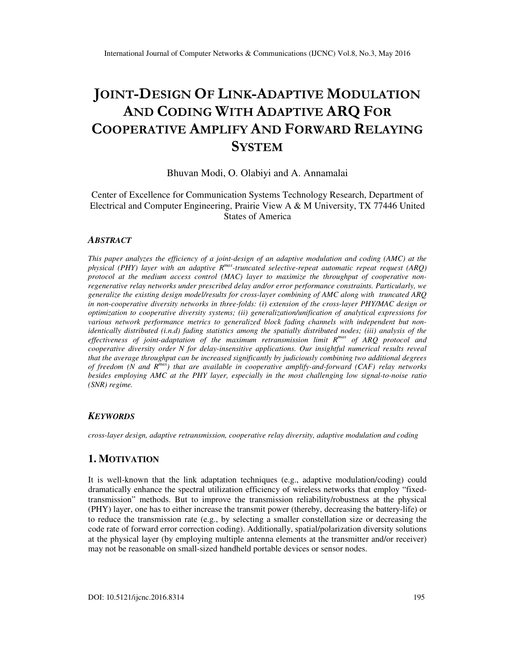# **JOINT-DESIGN OF LINK-ADAPTIVE MODULATION AND CODING WITH ADAPTIVE ARQ FOR COOPERATIVE AMPLIFY AND FORWARD RELAYING SYSTEM**

# Bhuvan Modi, O. Olabiyi and A. Annamalai

Center of Excellence for Communication Systems Technology Research, Department of Electrical and Computer Engineering, Prairie View A & M University, TX 77446 United States of America

# *ABSTRACT*

*This paper analyzes the efficiency of a joint-design of an adaptive modulation and coding (AMC) at the physical (PHY) layer with an adaptive Rmax-truncated selective-repeat automatic repeat request (ARQ) protocol at the medium access control (MAC) layer to maximize the throughput of cooperative nonregenerative relay networks under prescribed delay and/or error performance constraints. Particularly, we generalize the existing design model/results for cross-layer combining of AMC along with truncated ARQ in non-cooperative diversity networks in three-folds: (i) extension of the cross-layer PHY/MAC design or optimization to cooperative diversity systems; (ii) generalization/unification of analytical expressions for various network performance metrics to generalized block fading channels with independent but nonidentically distributed (i.n.d) fading statistics among the spatially distributed nodes; (iii) analysis of the effectiveness of joint-adaptation of the maximum retransmission limit Rmax of ARQ protocol and cooperative diversity order N for delay-insensitive applications. Our insightful numerical results reveal that the average throughput can be increased significantly by judiciously combining two additional degrees of freedom (N and Rmax) that are available in cooperative amplify-and-forward (CAF) relay networks besides employing AMC at the PHY layer, especially in the most challenging low signal-to-noise ratio (SNR) regime.* 

#### *KEYWORDS*

*cross-layer design, adaptive retransmission, cooperative relay diversity, adaptive modulation and coding* 

# **1. MOTIVATION**

It is well-known that the link adaptation techniques (e.g., adaptive modulation/coding) could dramatically enhance the spectral utilization efficiency of wireless networks that employ "fixedtransmission" methods. But to improve the transmission reliability/robustness at the physical (PHY) layer, one has to either increase the transmit power (thereby, decreasing the battery-life) or to reduce the transmission rate (e.g., by selecting a smaller constellation size or decreasing the code rate of forward error correction coding). Additionally, spatial/polarization diversity solutions at the physical layer (by employing multiple antenna elements at the transmitter and/or receiver) may not be reasonable on small-sized handheld portable devices or sensor nodes.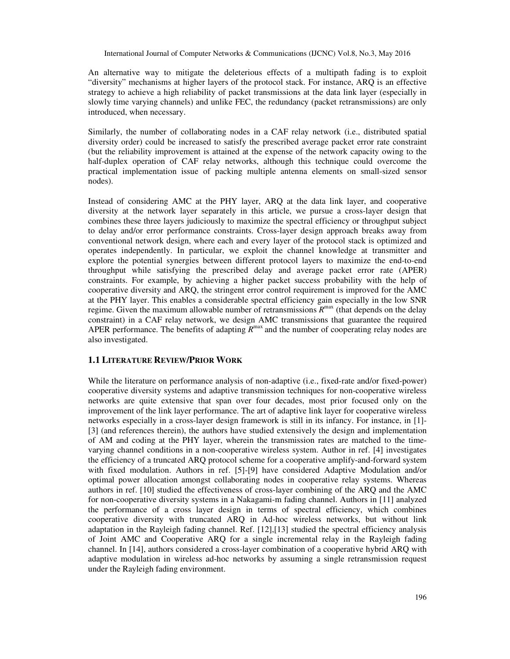An alternative way to mitigate the deleterious effects of a multipath fading is to exploit "diversity" mechanisms at higher layers of the protocol stack. For instance, ARQ is an effective strategy to achieve a high reliability of packet transmissions at the data link layer (especially in slowly time varying channels) and unlike FEC, the redundancy (packet retransmissions) are only introduced, when necessary.

Similarly, the number of collaborating nodes in a CAF relay network (i.e., distributed spatial diversity order) could be increased to satisfy the prescribed average packet error rate constraint (but the reliability improvement is attained at the expense of the network capacity owing to the half-duplex operation of CAF relay networks, although this technique could overcome the practical implementation issue of packing multiple antenna elements on small-sized sensor nodes).

Instead of considering AMC at the PHY layer, ARQ at the data link layer, and cooperative diversity at the network layer separately in this article, we pursue a cross-layer design that combines these three layers judiciously to maximize the spectral efficiency or throughput subject to delay and/or error performance constraints. Cross-layer design approach breaks away from conventional network design, where each and every layer of the protocol stack is optimized and operates independently. In particular, we exploit the channel knowledge at transmitter and explore the potential synergies between different protocol layers to maximize the end-to-end throughput while satisfying the prescribed delay and average packet error rate (APER) constraints. For example, by achieving a higher packet success probability with the help of cooperative diversity and ARQ, the stringent error control requirement is improved for the AMC at the PHY layer. This enables a considerable spectral efficiency gain especially in the low SNR regime. Given the maximum allowable number of retransmissions  $R^{\text{max}}$  (that depends on the delay constraint) in a CAF relay network, we design AMC transmissions that guarantee the required APER performance. The benefits of adapting  $R^{max}$  and the number of cooperating relay nodes are also investigated.

# **1.1 LITERATURE REVIEW/PRIOR WORK**

While the literature on performance analysis of non-adaptive (i.e., fixed-rate and/or fixed-power) cooperative diversity systems and adaptive transmission techniques for non-cooperative wireless networks are quite extensive that span over four decades, most prior focused only on the improvement of the link layer performance. The art of adaptive link layer for cooperative wireless networks especially in a cross-layer design framework is still in its infancy. For instance, in [1]- [3] (and references therein), the authors have studied extensively the design and implementation of AM and coding at the PHY layer, wherein the transmission rates are matched to the timevarying channel conditions in a non-cooperative wireless system. Author in ref. [4] investigates the efficiency of a truncated ARQ protocol scheme for a cooperative amplify-and-forward system with fixed modulation. Authors in ref. [5]-[9] have considered Adaptive Modulation and/or optimal power allocation amongst collaborating nodes in cooperative relay systems. Whereas authors in ref. [10] studied the effectiveness of cross-layer combining of the ARQ and the AMC for non-cooperative diversity systems in a Nakagami-m fading channel. Authors in [11] analyzed the performance of a cross layer design in terms of spectral efficiency, which combines cooperative diversity with truncated ARQ in Ad-hoc wireless networks, but without link adaptation in the Rayleigh fading channel. Ref. [12],[13] studied the spectral efficiency analysis of Joint AMC and Cooperative ARQ for a single incremental relay in the Rayleigh fading channel. In [14], authors considered a cross-layer combination of a cooperative hybrid ARQ with adaptive modulation in wireless ad-hoc networks by assuming a single retransmission request under the Rayleigh fading environment.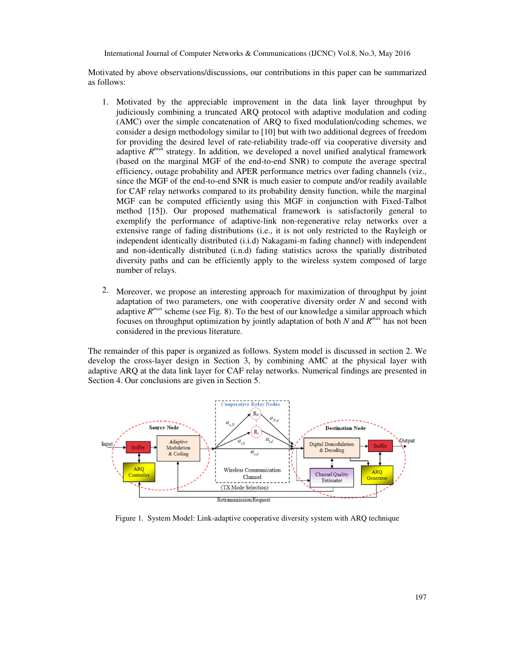Motivated by above observations/discussions, our contributions in this paper can be summarized as follows:

- 1. Motivated by the appreciable improvement in the data link layer throughput by judiciously combining a truncated ARQ protocol with adaptive modulation and coding (AMC) over the simple concatenation of ARQ to fixed modulation/coding schemes, we consider a design methodology similar to [10] but with two additional degrees of freedom for providing the desired level of rate-reliability trade-off via cooperative diversity and adaptive  $R^{\text{max}}$  strategy. In addition, we developed a novel unified analytical framework (based on the marginal MGF of the end-to-end SNR) to compute the average spectral efficiency, outage probability and APER performance metrics over fading channels (viz., since the MGF of the end-to-end SNR is much easier to compute and/or readily available for CAF relay networks compared to its probability density function, while the marginal MGF can be computed efficiently using this MGF in conjunction with Fixed-Talbot method [15]). Our proposed mathematical framework is satisfactorily general to exemplify the performance of adaptive-link non-regenerative relay networks over a extensive range of fading distributions (i.e., it is not only restricted to the Rayleigh or independent identically distributed (i.i.d) Nakagami-m fading channel) with independent and non-identically distributed (i.n.d) fading statistics across the spatially distributed diversity paths and can be efficiently apply to the wireless system composed of large number of relays.
- 2. Moreover, we propose an interesting approach for maximization of throughput by joint adaptation of two parameters, one with cooperative diversity order *N* and second with adaptive  $R^{max}$  scheme (see Fig. 8). To the best of our knowledge a similar approach which focuses on throughput optimization by jointly adaptation of both *N* and *Rmax* has not been considered in the previous literature.

The remainder of this paper is organized as follows. System model is discussed in section 2. We develop the cross-layer design in Section 3, by combining AMC at the physical layer with adaptive ARQ at the data link layer for CAF relay networks. Numerical findings are presented in Section 4. Our conclusions are given in Section 5.



Figure 1. System Model: Link-adaptive cooperative diversity system with ARQ technique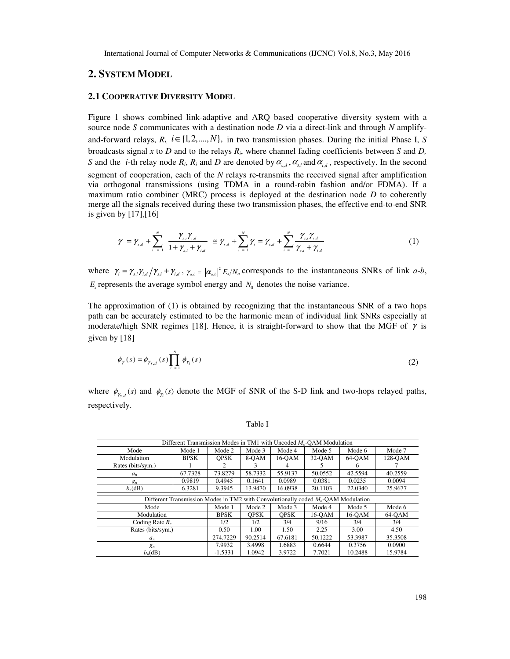# **2. SYSTEM MODEL**

# **2.1 COOPERATIVE DIVERSITY MODEL**

Figure 1 shows combined link-adaptive and ARQ based cooperative diversity system with a source node *S* communicates with a destination node *D* via a direct-link and through *N* amplifyand-forward relays,  $R_i$ ,  $i \in \{1, 2, ..., N\}$ , in two transmission phases. During the initial Phase I, *S* broadcasts signal *x* to *D* and to the relays *R<sup>i</sup>* , where channel fading coefficients between *S* and *D, S* and the *i*-th relay node  $R_i$ ,  $R_i$  and  $D$  are denoted by  $\alpha_{s,d}$ ,  $\alpha_{s,i}$  and  $\alpha_{i,d}$ , respectively. In the second segment of cooperation, each of the *N* relays re-transmits the received signal after amplification via orthogonal transmissions (using TDMA in a round-robin fashion and/or FDMA). If a maximum ratio combiner (MRC) process is deployed at the destination node *D* to coherently merge all the signals received during these two transmission phases, the effective end-to-end SNR is given by [17],[16]

$$
\gamma = \gamma_{s,d} + \sum_{i=1}^N \frac{\gamma_{s,i}\gamma_{i,d}}{1+\gamma_{s,i}+\gamma_{i,d}} \approx \gamma_{s,d} + \sum_{i=1}^N \gamma_i = \gamma_{s,d} + \sum_{i=1}^N \frac{\gamma_{s,i}\gamma_{i,d}}{\gamma_{s,i}+\gamma_{i,d}}
$$
(1)

where  $\gamma_i = \gamma_{s,i} \gamma_{i,d} / \gamma_{s,i} + \gamma_{i,d}$ ,  $\gamma_{a,b} = |\alpha_{a,b}|^2 E_s / N_o$  corresponds to the instantaneous SNRs of link *a-b*,  $E<sub>s</sub>$  represents the average symbol energy and  $N<sub>0</sub>$  denotes the noise variance.

The approximation of (1) is obtained by recognizing that the instantaneous SNR of a two hops path can be accurately estimated to be the harmonic mean of individual link SNRs especially at moderate/high SNR regimes [18]. Hence, it is straight-forward to show that the MGF of  $\gamma$  is given by [18]

$$
\phi_{\gamma}(s) = \phi_{\gamma_{s,d}}(s) \prod_{i=1}^{N} \phi_{\gamma_i}(s)
$$
\n(2)

where  $\phi_{\gamma_{s,d}}(s)$  and  $\phi_{\gamma_i}(s)$  denote the MGF of SNR of the S-D link and two-hops relayed paths, respectively.

Table I

| Different Transmission Modes in TM1 with Uncoded $M_n$ -OAM Modulation               |             |             |             |             |         |         |         |
|--------------------------------------------------------------------------------------|-------------|-------------|-------------|-------------|---------|---------|---------|
| Mode                                                                                 | Mode 1      | Mode 2      | Mode 3      | Mode 4      | Mode 5  | Mode 6  | Mode 7  |
| Modulation                                                                           | <b>BPSK</b> | <b>OPSK</b> | 8-QAM       | $16$ -OAM   | 32-OAM  | 64-OAM  | 128-OAM |
| Rates (bits/sym.)                                                                    |             | 2           | 3           | 4           | 7       | 6       |         |
| $a_n$                                                                                | 67.7328     | 73.8279     | 58.7332     | 55.9137     | 50.0552 | 42.5594 | 40.2559 |
| $g_n$                                                                                | 0.9819      | 0.4945      | 0.1641      | 0.0989      | 0.0381  | 0.0235  | 0.0094  |
| $b_n$ (dB)                                                                           | 6.3281      | 9.3945      | 13.9470     | 16.0938     | 20.1103 | 22.0340 | 25.9677 |
| Different Transmission Modes in TM2 with Convolutionally coded $M_n$ -QAM Modulation |             |             |             |             |         |         |         |
| Mode                                                                                 |             | Mode 1      | Mode 2      | Mode 3      | Mode 4  | Mode 5  | Mode 6  |
| Modulation                                                                           |             | <b>BPSK</b> | <b>OPSK</b> | <b>OPSK</b> | 16-OAM  | 16-OAM  | 64-OAM  |
| Coding Rate $R_c$                                                                    |             | 1/2         | 1/2         | 3/4         | 9/16    | 3/4     | 3/4     |
| Rates (bits/sym.)                                                                    |             | 0.50        | 1.00        | 1.50        | 2.25    | 3.00    | 4.50    |
| $a_n$                                                                                |             | 274.7229    | 90.2514     | 67.6181     | 50.1222 | 53.3987 | 35.3508 |
| $g_n$                                                                                |             | 7.9932      | 3.4998      | 1.6883      | 0.6644  | 0.3756  | 0.0900  |
| $b_n$ (dB)                                                                           |             | $-1.5331$   | 1.0942      | 3.9722      | 7.7021  | 10.2488 | 15.9784 |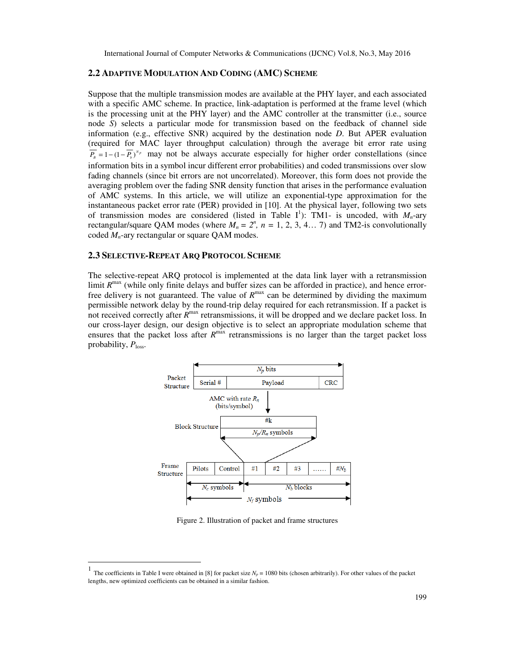# **2.2 ADAPTIVE MODULATION AND CODING (AMC) SCHEME**

Suppose that the multiple transmission modes are available at the PHY layer, and each associated with a specific AMC scheme. In practice, link-adaptation is performed at the frame level (which is the processing unit at the PHY layer) and the AMC controller at the transmitter (i.e., source node *S*) selects a particular mode for transmission based on the feedback of channel side information (e.g., effective SNR) acquired by the destination node *D*. But APER evaluation (required for MAC layer throughput calculation) through the average bit error rate using  $\overline{P_n} = 1 - (1 - \overline{P_n})^{N_p}$  may not be always accurate especially for higher order constellations (since information bits in a symbol incur different error probabilities) and coded transmissions over slow fading channels (since bit errors are not uncorrelated). Moreover, this form does not provide the averaging problem over the fading SNR density function that arises in the performance evaluation of AMC systems. In this article, we will utilize an exponential-type approximation for the instantaneous packet error rate (PER) provided in [10]. At the physical layer, following two sets of transmission modes are considered (listed in Table I<sup>1</sup>): TM1- is uncoded, with  $M_n$ -ary rectangular/square QAM modes (where  $M_n = 2^n$ ,  $n = 1, 2, 3, 4...$  7) and TM2-is convolutionally coded *Mn*-ary rectangular or square QAM modes.

# **2.3 SELECTIVE-REPEAT ARQ PROTOCOL SCHEME**

 $\overline{a}$ 

The selective-repeat ARQ protocol is implemented at the data link layer with a retransmission limit  $R^{\max}$  (while only finite delays and buffer sizes can be afforded in practice), and hence errorfree delivery is not guaranteed. The value of  $R^{max}$  can be determined by dividing the maximum permissible network delay by the round-trip delay required for each retransmission. If a packet is not received correctly after *R*<sup>max</sup> retransmissions, it will be dropped and we declare packet loss. In our cross-layer design, our design objective is to select an appropriate modulation scheme that ensures that the packet loss after  $R^{max}$  retransmissions is no larger than the target packet loss probability,  $P_{\text{loss}}$ .



Figure 2. Illustration of packet and frame structures

<sup>1</sup> The coefficients in Table I were obtained in [8] for packet size  $N_p = 1080$  bits (chosen arbitrarily). For other values of the packet lengths, new optimized coefficients can be obtained in a similar fashion.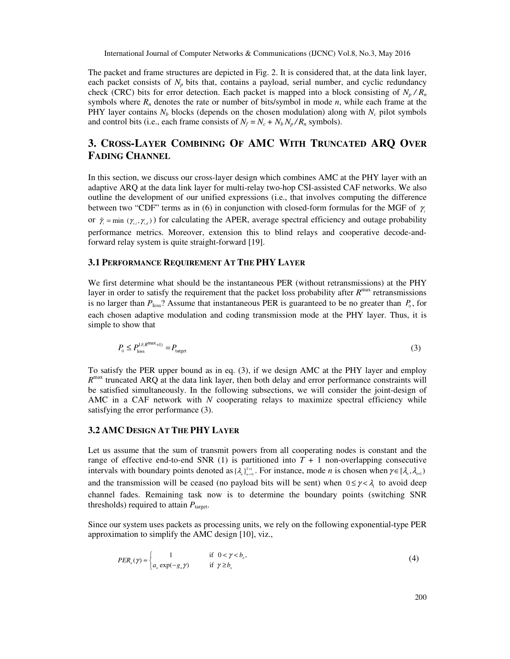The packet and frame structures are depicted in Fig. 2. It is considered that, at the data link layer, each packet consists of  $N_p$  bits that, contains a payload, serial number, and cyclic redundancy check (CRC) bits for error detection. Each packet is mapped into a block consisting of  $N_p / R_n$ symbols where *Rn* denotes the rate or number of bits/symbol in mode *n*, while each frame at the PHY layer contains  $N_b$  blocks (depends on the chosen modulation) along with  $N_c$  pilot symbols and control bits (i.e., each frame consists of  $N_f = N_c + N_b N_p / R_n$  symbols).

# **3. CROSS-LAYER COMBINING OF AMC WITH TRUNCATED ARQ OVER FADING CHANNEL**

In this section, we discuss our cross-layer design which combines AMC at the PHY layer with an adaptive ARQ at the data link layer for multi-relay two-hop CSI-assisted CAF networks. We also outline the development of our unified expressions (i.e., that involves computing the difference between two "CDF" terms as in (6) in conjunction with closed-form formulas for the MGF of *γ* or  $\tilde{\gamma}_i$  = min ( $\gamma_{i,i}, \gamma_{i,i}$ )) for calculating the APER, average spectral efficiency and outage probability performance metrics. Moreover, extension this to blind relays and cooperative decode-andforward relay system is quite straight-forward [19].

# **3.1 PERFORMANCE REQUIREMENT AT THE PHY LAYER**

We first determine what should be the instantaneous PER (without retransmissions) at the PHY layer in order to satisfy the requirement that the packet loss probability after  $R^{\max}$  retransmissions is no larger than  $P_{\text{loss}}$ ? Assume that instantaneous PER is guaranteed to be no greater than  $P_{\text{o}}$ , for each chosen adaptive modulation and coding transmission mode at the PHY layer. Thus, it is simple to show that

$$
P_0 \le P_{\text{loss}}^{1/(R^{\text{max}}+1)} = P_{\text{target}} \tag{3}
$$

To satisfy the PER upper bound as in eq. (3), if we design AMC at the PHY layer and employ  $R<sup>max</sup>$  truncated ARQ at the data link layer, then both delay and error performance constraints will be satisfied simultaneously. In the following subsections, we will consider the joint-design of AMC in a CAF network with *N* cooperating relays to maximize spectral efficiency while satisfying the error performance  $(3)$ .

# **3.2 AMC DESIGN AT THE PHY LAYER**

Let us assume that the sum of transmit powers from all cooperating nodes is constant and the range of effective end-to-end SNR  $(1)$  is partitioned into  $T + 1$  non-overlapping consecutive intervals with boundary points denoted as  $\{\lambda_n\}_{n=0}^{T+1}$ . For instance, mode *n* is chosen when  $\gamma \in [\lambda_n, \lambda_{n+1})$ and the transmission will be ceased (no payload bits will be sent) when  $0 \le \gamma < \lambda$  to avoid deep channel fades. Remaining task now is to determine the boundary points (switching SNR thresholds) required to attain  $P_{\text{target}}$ .

Since our system uses packets as processing units, we rely on the following exponential-type PER approximation to simplify the AMC design [10], viz.,

$$
PER_n(\gamma) \approx \begin{cases} 1 & \text{if } 0 < \gamma < b_n, \\ a_n \exp(-g_n \gamma) & \text{if } \gamma \ge b_n \end{cases} \tag{4}
$$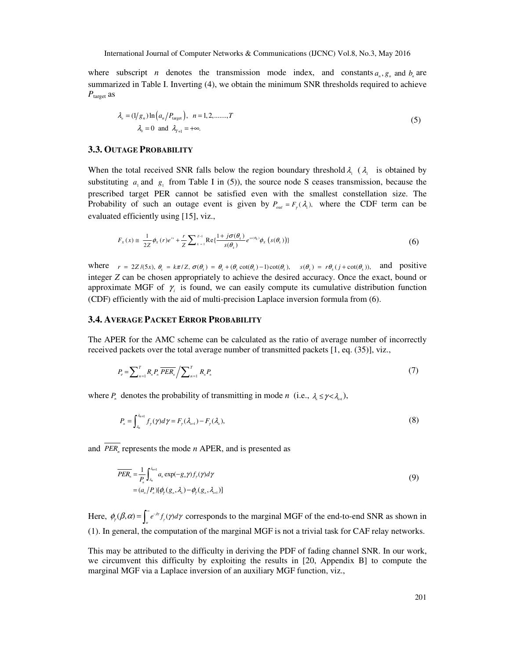where subscript *n* denotes the transmission mode index, and constants  $a_n$ ,  $g_n$  and  $b_n$  are summarized in Table I. Inverting (4), we obtain the minimum SNR thresholds required to achieve *P*target as

$$
\lambda_n = (1/g_n) \ln \left( a_n / P_{\text{target}} \right), \quad n = 1, 2, \dots, T
$$
\n
$$
\lambda_0 = 0 \quad \text{and} \quad \lambda_{T+1} = +\infty. \tag{5}
$$

#### **3.3. OUTAGE PROBABILITY**

When the total received SNR falls below the region boundary threshold  $\lambda_1$  ( $\lambda_1$  is obtained by substituting  $a_1$  and  $g_1$  from Table I in (5)), the source node S ceases transmission, because the prescribed target PER cannot be satisfied even with the smallest constellation size. The Probability of such an outage event is given by  $P_{out} = F_{\gamma}(\lambda_1)$ , where the CDF term can be evaluated efficiently using [15], viz.,

$$
F_x(x) \cong \frac{1}{2Z} \phi_x(r) e^{rx} + \frac{r}{Z} \sum_{k=1}^{Z-1} \text{Re}\{\frac{1 + j\sigma(\theta_k)}{s(\theta_k)} e^{xs(\theta_k)} \phi_x(s(\theta_k))\}
$$
(6)

where  $r = 2Z/(5x)$ ,  $\theta_k = k\pi/Z$ ,  $\sigma(\theta_k) = \theta_k + (\theta_k \cot(\theta_k) - 1) \cot(\theta_k)$ ,  $s(\theta_k) = r\theta_k (f + \cot(\theta_k))$ , and positive integer *Z* can be chosen appropriately to achieve the desired accuracy. Once the exact, bound or approximate MGF of  $\gamma$  is found, we can easily compute its cumulative distribution function (CDF) efficiently with the aid of multi-precision Laplace inversion formula from (6).

# **3.4. AVERAGE PACKET ERROR PROBABILITY**

The APER for the AMC scheme can be calculated as the ratio of average number of incorrectly received packets over the total average number of transmitted packets [1, eq. (35)], viz.,

$$
P_e = \sum_{n=1}^{T} R_n P_n \overline{PER_n} / \sum_{n=1}^{T} R_n P_n \tag{7}
$$

where  $P_n$  denotes the probability of transmitting in mode *n* (i.e.,  $\lambda_n \le \gamma < \lambda_{n+1}$ ),

$$
P_n = \int_{\lambda_n}^{\lambda_{n+1}} f_{\gamma}(\gamma) d\gamma = F_{\gamma}(\lambda_{n+1}) - F_{\gamma}(\lambda_n),
$$
\n(8)

and *PER*<sub>*n*</sub> represents the mode *n* APER, and is presented as

$$
\overline{PER_n} = \frac{1}{P_n} \int_{\lambda_n}^{\lambda_{n+1}} a_n \exp(-g_n \gamma) f_{\gamma}(\gamma) d\gamma
$$
  
=  $(a_n/P_n) [\phi_{\gamma}(g_n, \lambda_n) - \phi_{\gamma}(g_n, \lambda_{n+1})]$  (9)

Here,  $\phi_{\gamma}(\beta,\alpha) = \int_{\alpha}^{\infty} e^{-\beta \gamma} f_{\gamma}(\gamma) d\gamma$  corresponds to the marginal MGF of the end-to-end SNR as shown in α (1). In general, the computation of the marginal MGF is not a trivial task for CAF relay networks.

This may be attributed to the difficulty in deriving the PDF of fading channel SNR. In our work, we circumvent this difficulty by exploiting the results in [20, Appendix B] to compute the marginal MGF via a Laplace inversion of an auxiliary MGF function, viz.,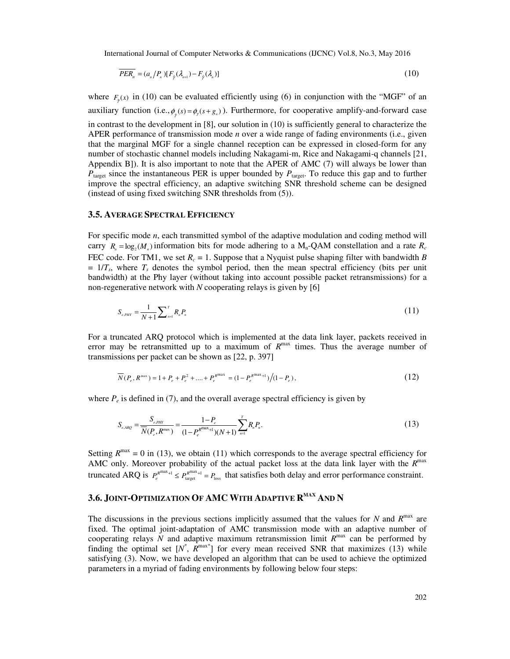$$
\overline{PER_n} = (a_n/P_n)[F_{\hat{y}}(\lambda_{n+1}) - F_{\hat{y}}(\lambda_n)]
$$
\n(10)

where  $F_{\hat{\gamma}}(x)$  in (10) can be evaluated efficiently using (6) in conjunction with the "MGF" of an auxiliary function (i.e.,  $\phi_p(s) = \phi_p(s + g_n)$ ). Furthermore, for cooperative amplify-and-forward case in contrast to the development in [8], our solution in (10) is sufficiently general to characterize the APER performance of transmission mode *n* over a wide range of fading environments (i.e., given that the marginal MGF for a single channel reception can be expressed in closed-form for any number of stochastic channel models including Nakagami-m, Rice and Nakagami-q channels [21, Appendix B]). It is also important to note that the APER of AMC (7) will always be lower than  $P_{\text{target}}$  since the instantaneous PER is upper bounded by  $P_{\text{target}}$ . To reduce this gap and to further improve the spectral efficiency, an adaptive switching SNR threshold scheme can be designed (instead of using fixed switching SNR thresholds from (5)).

#### **3.5. AVERAGE SPECTRAL EFFICIENCY**

For specific mode *n*, each transmitted symbol of the adaptive modulation and coding method will carry  $R_n = \log_2(M_n)$  information bits for mode adhering to a  $M_n$ -QAM constellation and a rate  $R_c$ FEC code. For TM1, we set  $R_c = 1$ . Suppose that a Nyquist pulse shaping filter with bandwidth *B*  $= 1/T_s$ , where  $T_s$  denotes the symbol period, then the mean spectral efficiency (bits per unit bandwidth) at the Phy layer (without taking into account possible packet retransmissions) for a non-regenerative network with *N* cooperating relays is given by [6]

$$
S_{e,PHY} = \frac{1}{N+1} \sum_{n=1}^{T} R_n P_n \tag{11}
$$

For a truncated ARQ protocol which is implemented at the data link layer, packets received in error may be retransmitted up to a maximum of  $R^{max}$  times. Thus the average number of transmissions per packet can be shown as [22, p. 397]

$$
\overline{N}(P_e, R^{\max}) = 1 + P_e + P_e^2 + \dots + P_e^{R^{\max}} = (1 - P_e^{R^{\max}+1})/(1 - P_e),
$$
\n(12)

where  $P_e$  is defined in (7), and the overall average spectral efficiency is given by

$$
S_{e,ARQ} = \frac{S_{e,PHY}}{\overline{N}(P_e, R^{\max})} = \frac{1 - P_e}{(1 - P_e^{R^{\max}+1})(N+1)} \sum_{n=1}^{T} R_n P_n.
$$
\n(13)

Setting  $R^{\text{max}} = 0$  in (13), we obtain (11) which corresponds to the average spectral efficiency for AMC only. Moreover probability of the actual packet loss at the data link layer with the  $R^{\max}$ truncated ARQ is  $P_e^{R^{\max}+1} \leq P_{\text{target}}^{R^{\max}+1} = P_{\text{loss}}$  that satisfies both delay and error performance constraint.

# **3.6. JOINT-OPTIMIZATION OF AMC WITH ADAPTIVE R MAX AND N**

The discussions in the previous sections implicitly assumed that the values for  $N$  and  $R^{max}$  are fixed. The optimal joint-adaptation of AMC transmission mode with an adaptive number of cooperating relays  $N$  and adaptive maximum retransmission limit  $R^{\text{max}}$  can be performed by finding the optimal set  $[N^*, R^{\text{max*}}]$  for every mean received SNR that maximizes (13) while satisfying (3). Now, we have developed an algorithm that can be used to achieve the optimized parameters in a myriad of fading environments by following below four steps: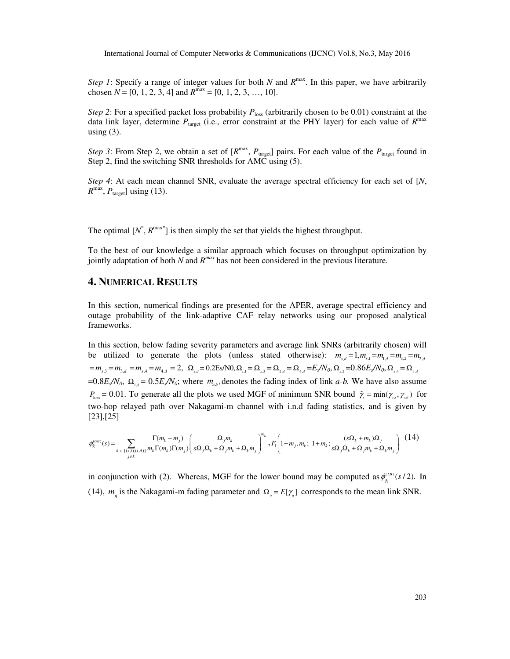*Step 1*: Specify a range of integer values for both *N* and  $R^{max}$ . In this paper, we have arbitrarily chosen  $N = [0, 1, 2, 3, 4]$  and  $R^{max} = [0, 1, 2, 3, ..., 10]$ .

*Step 2*: For a specified packet loss probability  $P_{\text{loss}}$  (arbitrarily chosen to be 0.01) constraint at the data link layer, determine  $P_{\text{target}}$  (i.e., error constraint at the PHY layer) for each value of  $R^{\text{max}}$ using  $(3)$ .

*Step 3*: From Step 2, we obtain a set of  $[R^{max}, P_{target}]$  pairs. For each value of the  $P_{target}$  found in Step 2, find the switching SNR thresholds for AMC using (5).

*Step 4*: At each mean channel SNR, evaluate the average spectral efficiency for each set of [*N*,  $R^{\text{max}}$ ,  $P_{\text{target}}$ ] using (13).

The optimal  $[N^*, R^{\text{max}}]$  is then simply the set that yields the highest throughput.

To the best of our knowledge a similar approach which focuses on throughput optimization by jointly adaptation of both *N* and *Rmax* has not been considered in the previous literature.

# **4. NUMERICAL RESULTS**

In this section, numerical findings are presented for the APER, average spectral efficiency and outage probability of the link-adaptive CAF relay networks using our proposed analytical frameworks.

In this section, below fading severity parameters and average link SNRs (arbitrarily chosen) will be utilized to generate the plots (unless stated otherwise):  $m_{s,d} = 1, m_{s,1} = m_{s,2} = m_{s,d}$  $=m_{s,3}=m_{s,4}=m_{s,4}=m_{4,d}=2$ ,  $\Omega_{s,d}=0.2$ Es/N $0, \Omega_{s,1}=\Omega_{s,3}=\Omega_{s,d}=\Omega_{4,d}=E/N_0$ ,  $\Omega_{s,2}=0.86E/N_0$ ,  $\Omega_{s,4}=\Omega_{3,d}$  $=0.8E/N_0$ ,  $\Omega_{1,d} = 0.5E/N_0$ ; where  $m_{a,b}$ , denotes the fading index of link *a-b*. We have also assume  $P_{\text{loss}} = 0.01$ . To generate all the plots we used MGF of minimum SNR bound  $\tilde{\gamma}_i = \min(\gamma_{s,i}, \gamma_{i,d})$  for two-hop relayed path over Nakagami-m channel with i.n.d fading statistics, and is given by [23],[25]

$$
\phi_{\tilde{\gamma}_i}^{(UB)}(s) = \sum_{k \in \{(s,i),(i,d)\}} \frac{\Gamma(m_k+m_j)}{m_k \Gamma(m_k) \Gamma(m_j)} \left( \frac{\Omega_j m_k}{s \Omega_j \Omega_k + \Omega_j m_k + \Omega_k m_j} \right)^{m_k} {}_2F_1\left(1-m_j,m_k; \ 1+m_k; \frac{(s \Omega_k+m_k) \Omega_j}{s \Omega_j \Omega_k + \Omega_j m_k + \Omega_k m_j} \right) \eqno{(14)}
$$

in conjunction with (2). Whereas, MGF for the lower bound may be computed as  $\phi_{\tilde{r}}^{(IB)}(s/2)$ . In (14),  $m_q$  is the Nakagami-m fading parameter and  $\Omega_q = E[\gamma_q]$  corresponds to the mean link SNR.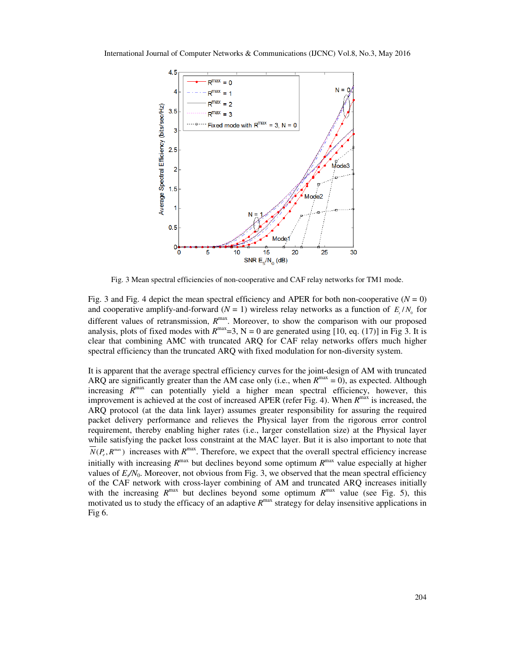

Fig. 3 Mean spectral efficiencies of non-cooperative and CAF relay networks for TM1 mode.

Fig. 3 and Fig. 4 depict the mean spectral efficiency and APER for both non-cooperative  $(N = 0)$ and cooperative amplify-and-forward  $(N = 1)$  wireless relay networks as a function of  $E_s/N_0$  for different values of retransmission,  $R^{\text{max}}$ . Moreover, to show the comparison with our proposed analysis, plots of fixed modes with  $R^{\text{max}}=3$ ,  $N = 0$  are generated using [10, eq. (17)] in Fig 3. It is clear that combining AMC with truncated ARQ for CAF relay networks offers much higher spectral efficiency than the truncated ARQ with fixed modulation for non-diversity system.

It is apparent that the average spectral efficiency curves for the joint-design of AM with truncated ARQ are significantly greater than the AM case only (i.e., when  $R^{\text{max}} = 0$ ), as expected. Although increasing  $R^{\text{max}}$  can potentially yield a higher mean spectral efficiency, however, this improvement is achieved at the cost of increased APER (refer Fig. 4). When  $R^{\text{max}}$  is increased, the ARQ protocol (at the data link layer) assumes greater responsibility for assuring the required packet delivery performance and relieves the Physical layer from the rigorous error control requirement, thereby enabling higher rates (i.e., larger constellation size) at the Physical layer while satisfying the packet loss constraint at the MAC layer. But it is also important to note that  $\overline{N}(P_e, R^{max})$  increases with  $R^{max}$ . Therefore, we expect that the overall spectral efficiency increase initially with increasing  $R^{\text{max}}$  but declines beyond some optimum  $R^{\text{max}}$  value especially at higher values of  $E/N_0$ . Moreover, not obvious from Fig. 3, we observed that the mean spectral efficiency of the CAF network with cross-layer combining of AM and truncated ARQ increases initially with the increasing  $R^{\text{max}}$  but declines beyond some optimum  $R^{\text{max}}$  value (see Fig. 5), this motivated us to study the efficacy of an adaptive  $R^{max}$  strategy for delay insensitive applications in Fig 6.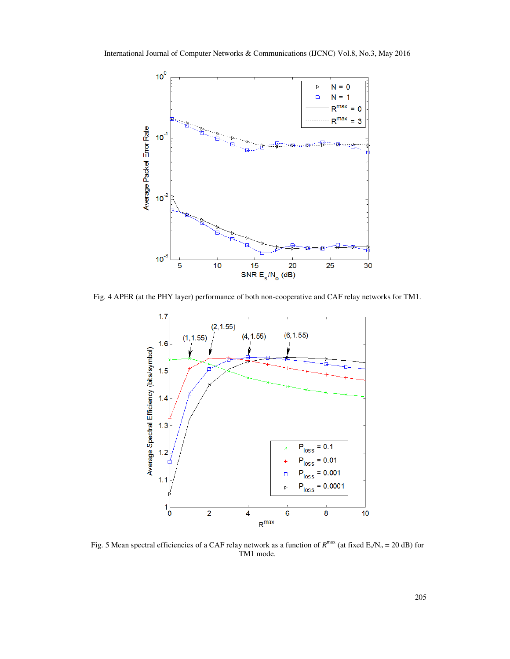

Fig. 4 APER (at the PHY layer) performance of both non-cooperative and CAF relay networks for TM1.



Fig. 5 Mean spectral efficiencies of a CAF relay network as a function of  $R^{max}$  (at fixed  $E_s/N_o = 20$  dB) for TM1 mode.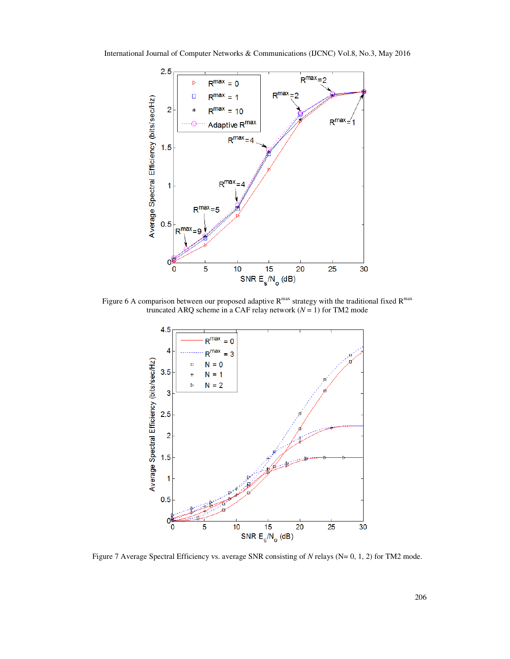

Figure 6 A comparison between our proposed adaptive  $R^{max}$  strategy with the traditional fixed  $R^{max}$ truncated ARQ scheme in a CAF relay network (*N* = 1) for TM2 mode



Figure 7 Average Spectral Efficiency vs. average SNR consisting of *N* relays (N= 0, 1, 2) for TM2 mode.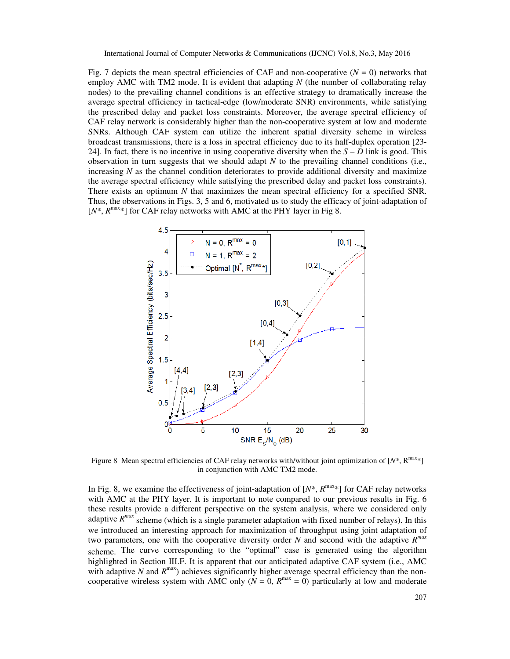Fig. 7 depicts the mean spectral efficiencies of CAF and non-cooperative  $(N = 0)$  networks that employ AMC with TM2 mode. It is evident that adapting *N* (the number of collaborating relay nodes) to the prevailing channel conditions is an effective strategy to dramatically increase the average spectral efficiency in tactical-edge (low/moderate SNR) environments, while satisfying the prescribed delay and packet loss constraints. Moreover, the average spectral efficiency of CAF relay network is considerably higher than the non-cooperative system at low and moderate SNRs. Although CAF system can utilize the inherent spatial diversity scheme in wireless broadcast transmissions, there is a loss in spectral efficiency due to its half-duplex operation [23- 24]. In fact, there is no incentive in using cooperative diversity when the  $S - D$  link is good. This observation in turn suggests that we should adapt *N* to the prevailing channel conditions (i.e., increasing *N* as the channel condition deteriorates to provide additional diversity and maximize the average spectral efficiency while satisfying the prescribed delay and packet loss constraints). There exists an optimum *N* that maximizes the mean spectral efficiency for a specified SNR. Thus, the observations in Figs. 3, 5 and 6, motivated us to study the efficacy of joint-adaptation of  $[N^*, R^{\max*}]$  for CAF relay networks with AMC at the PHY layer in Fig 8.



Figure 8 Mean spectral efficiencies of CAF relay networks with/without joint optimization of  $[N^*, R^{\max*}]$ in conjunction with AMC TM2 mode.

In Fig. 8, we examine the effectiveness of joint-adaptation of  $[N^*, R^{\max*}]$  for CAF relay networks with AMC at the PHY layer. It is important to note compared to our previous results in Fig. 6 these results provide a different perspective on the system analysis, where we considered only adaptive  $R^{max}$  scheme (which is a single parameter adaptation with fixed number of relays). In this we introduced an interesting approach for maximization of throughput using joint adaptation of two parameters, one with the cooperative diversity order *N* and second with the adaptive *R max* scheme. The curve corresponding to the "optimal" case is generated using the algorithm highlighted in Section III.F. It is apparent that our anticipated adaptive CAF system (i.e., AMC with adaptive  $N$  and  $R^{max}$ ) achieves significantly higher average spectral efficiency than the noncooperative wireless system with AMC only ( $N = 0$ ,  $R^{max} = 0$ ) particularly at low and moderate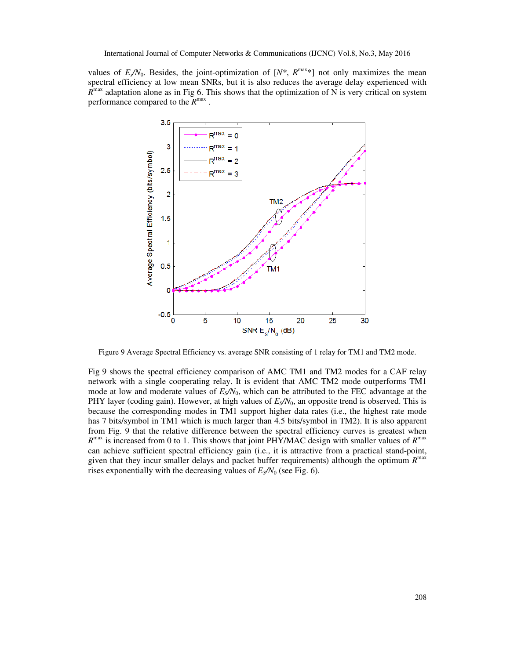values of  $E/N_0$ . Besides, the joint-optimization of  $[N^*, R^{\max*}]$  not only maximizes the mean spectral efficiency at low mean SNRs, but it is also reduces the average delay experienced with  $R^{\text{max}}$  adaptation alone as in Fig 6. This shows that the optimization of N is very critical on system performance compared to the  $R^{\text{max}}$ .



Figure 9 Average Spectral Efficiency vs. average SNR consisting of 1 relay for TM1 and TM2 mode.

Fig 9 shows the spectral efficiency comparison of AMC TM1 and TM2 modes for a CAF relay network with a single cooperating relay. It is evident that AMC TM2 mode outperforms TM1 mode at low and moderate values of *ES/N*0, which can be attributed to the FEC advantage at the PHY layer (coding gain). However, at high values of *ES/N*0, an opposite trend is observed. This is because the corresponding modes in TM1 support higher data rates (i.e., the highest rate mode has 7 bits/symbol in TM1 which is much larger than 4.5 bits/symbol in TM2). It is also apparent from Fig. 9 that the relative difference between the spectral efficiency curves is greatest when  $R^{\text{max}}$  is increased from 0 to 1. This shows that joint PHY/MAC design with smaller values of  $R^{\text{max}}$ can achieve sufficient spectral efficiency gain (i.e., it is attractive from a practical stand-point, given that they incur smaller delays and packet buffer requirements) although the optimum  $R^{\text{max}}$ rises exponentially with the decreasing values of  $E_s/N_0$  (see Fig. 6).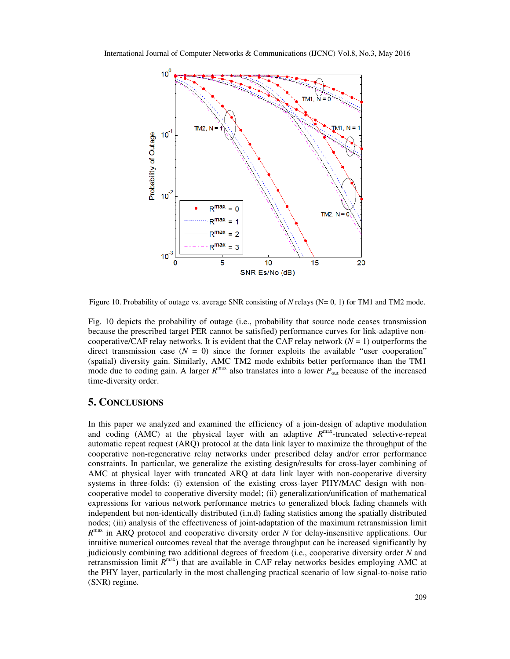

Figure 10. Probability of outage vs. average SNR consisting of *N* relays (N= 0, 1) for TM1 and TM2 mode.

Fig. 10 depicts the probability of outage (i.e., probability that source node ceases transmission because the prescribed target PER cannot be satisfied) performance curves for link-adaptive noncooperative/CAF relay networks. It is evident that the CAF relay network  $(N = 1)$  outperforms the direct transmission case  $(N = 0)$  since the former exploits the available "user cooperation" (spatial) diversity gain. Similarly, AMC TM2 mode exhibits better performance than the TM1 mode due to coding gain. A larger  $R^{\text{max}}$  also translates into a lower  $P_{\text{out}}$  because of the increased time-diversity order.

# **5. CONCLUSIONS**

In this paper we analyzed and examined the efficiency of a join-design of adaptive modulation and coding (AMC) at the physical layer with an adaptive  $R^{max}$ -truncated selective-repeat automatic repeat request (ARQ) protocol at the data link layer to maximize the throughput of the cooperative non-regenerative relay networks under prescribed delay and/or error performance constraints. In particular, we generalize the existing design/results for cross-layer combining of AMC at physical layer with truncated ARQ at data link layer with non-cooperative diversity systems in three-folds: (i) extension of the existing cross-layer PHY/MAC design with noncooperative model to cooperative diversity model; (ii) generalization/unification of mathematical expressions for various network performance metrics to generalized block fading channels with independent but non-identically distributed (i.n.d) fading statistics among the spatially distributed nodes; (iii) analysis of the effectiveness of joint-adaptation of the maximum retransmission limit  $R^{\text{max}}$  in ARQ protocol and cooperative diversity order *N* for delay-insensitive applications. Our intuitive numerical outcomes reveal that the average throughput can be increased significantly by judiciously combining two additional degrees of freedom (i.e., cooperative diversity order *N* and retransmission limit  $R^{max}$ ) that are available in CAF relay networks besides employing AMC at the PHY layer, particularly in the most challenging practical scenario of low signal-to-noise ratio (SNR) regime.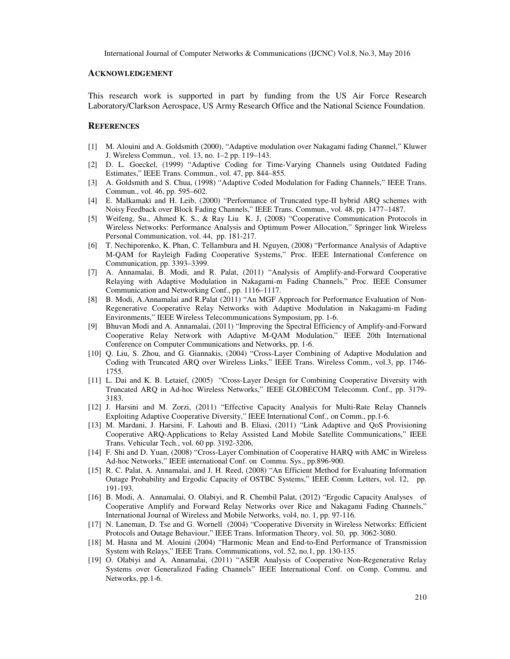#### **ACKNOWLEDGEMENT**

This research work is supported in part by funding from the US Air Force Research Laboratory/Clarkson Aerospace, US Army Research Office and the National Science Foundation.

#### **REFERENCES**

- [1] M. Alouini and A. Goldsmith (2000), "Adaptive modulation over Nakagami fading Channel," Kluwer J. Wireless Commun., vol. 13, no. 1–2 pp. 119–143.
- [2] D. L. Goeckel, (1999) "Adaptive Coding for Time-Varying Channels using Outdated Fading Estimates," IEEE Trans. Commun., vol. 47, pp. 844–855.
- [3] A. Goldsmith and S. Chua, (1998) "Adaptive Coded Modulation for Fading Channels," IEEE Trans. Commun., vol. 46, pp. 595–602.
- [4] E. Malkamaki and H. Leib, (2000) "Performance of Truncated type-II hybrid ARQ schemes with Noisy Feedback over Block Fading Channels," IEEE Trans. Commun., vol. 48, pp. 1477–1487.
- [5] Weifeng, Su., Ahmed K. S., & Ray Liu K. J, (2008) "Cooperative Communication Protocols in Wireless Networks: Performance Analysis and Optimum Power Allocation," Springer link Wireless Personal Communication, vol. 44, pp. 181-217.
- [6] T. Nechiporenko, K. Phan, C. Tellambura and H. Nguyen, (2008) "Performance Analysis of Adaptive M-QAM for Rayleigh Fading Cooperative Systems," Proc. IEEE International Conference on Communication, pp. 3393–3399.
- [7] A. Annamalai, B. Modi, and R. Palat, (2011) "Analysis of Amplify-and-Forward Cooperative Relaying with Adaptive Modulation in Nakagami-m Fading Channels," Proc. IEEE Consumer Communication and Networking Conf., pp. 1116–1117.
- [8] B. Modi, A.Annamalai and R.Palat (2011) "An MGF Approach for Performance Evaluation of Non-Regenerative Cooperative Relay Networks with Adaptive Modulation in Nakagami-m Fading Environments," IEEE Wireless Telecommunications Symposium, pp. 1-6.
- [9] Bhuvan Modi and A. Annamalai, (2011) "Improving the Spectral Efficiency of Amplify-and-Forward Cooperative Relay Network with Adaptive M-QAM Modulation," IEEE 20th International Conference on Computer Communications and Networks, pp. 1-6.
- [10] Q. Liu, S. Zhou, and G. Giannakis, (2004) "Cross-Layer Combining of Adaptive Modulation and Coding with Truncated ARQ over Wireless Links," IEEE Trans. Wireless Comm., vol.3, pp. 1746- 1755.
- [11] L. Dai and K. B. Letaief, (2005) "Cross-Layer Design for Combining Cooperative Diversity with Truncated ARQ in Ad-hoc Wireless Networks," IEEE GLOBECOM Telecomm. Conf., pp. 3179- 3183.
- [12] J. Harsini and M. Zorzi, (2011) "Effective Capacity Analysis for Multi-Rate Relay Channels Exploiting Adaptive Cooperative Diversity," IEEE International Conf., on Comm., pp.1-6.
- [13] M. Mardani, J. Harsini, F. Lahouti and B. Eliasi, (2011) "Link Adaptive and QoS Provisioning Cooperative ARQ-Applications to Relay Assisted Land Mobile Satellite Communications," IEEE Trans. Vehicular Tech., vol. 60 pp. 3192-3206,
- [14] F. Shi and D. Yuan, (2008) "Cross-Layer Combination of Cooperative HARQ with AMC in Wireless Ad-hoc Networks," IEEE international Conf. on Commu. Sys., pp.896-900.
- [15] R. C. Palat, A. Annamalai, and J. H. Reed, (2008) "An Efficient Method for Evaluating Information Outage Probability and Ergodic Capacity of OSTBC Systems," IEEE Comm. Letters, vol. 12, pp. 191-193.
- [16] B. Modi, A. Annamalai, O. Olabiyi, and R. Chembil Palat, (2012) "Ergodic Capacity Analyses of Cooperative Amplify and Forward Relay Networks over Rice and Nakagami Fading Channels," International Journal of Wireless and Mobile Networks, vol4, no. 1, pp. 97-116.
- [17] N. Laneman, D. Tse and G. Wornell (2004) "Cooperative Diversity in Wireless Networks: Efficient Protocols and Outage Behaviour," IEEE Trans. Information Theory, vol. 50, pp. 3062-3080.
- [18] M. Hasna and M. Alouini (2004) "Harmonic Mean and End-to-End Performance of Transmission System with Relays," IEEE Trans. Communications, vol. 52, no.1, pp. 130-135.
- [19] O. Olabiyi and A. Annamalai, (2011) "ASER Analysis of Cooperative Non-Regenerative Relay Systems over Generalized Fading Channels" IEEE International Conf. on Comp. Commu. and Networks, pp.1-6.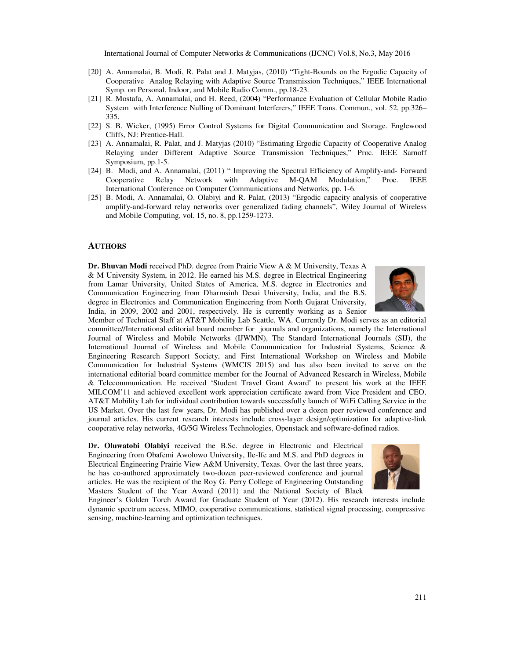- [20] A. Annamalai, B. Modi, R. Palat and J. Matyjas, (2010) "Tight-Bounds on the Ergodic Capacity of Cooperative Analog Relaying with Adaptive Source Transmission Techniques," IEEE International Symp. on Personal, Indoor, and Mobile Radio Comm., pp.18-23.
- [21] R. Mostafa, A. Annamalai, and H. Reed, (2004) "Performance Evaluation of Cellular Mobile Radio System with Interference Nulling of Dominant Interferers," IEEE Trans. Commun., vol. 52, pp.326– 335.
- [22] S. B. Wicker, (1995) Error Control Systems for Digital Communication and Storage. Englewood Cliffs, NJ: Prentice-Hall.
- [23] A. Annamalai, R. Palat, and J. Matyjas (2010) "Estimating Ergodic Capacity of Cooperative Analog Relaying under Different Adaptive Source Transmission Techniques," Proc. IEEE Sarnoff Symposium, pp.1-5.
- [24] B. Modi, and A. Annamalai, (2011) " Improving the Spectral Efficiency of Amplify-and- Forward Cooperative Relay Network with Adaptive M-QAM Modulation," Proc. IEEE International Conference on Computer Communications and Networks, pp. 1-6.
- [25] B. Modi, A. Annamalai, O. Olabiyi and R. Palat, (2013) "Ergodic capacity analysis of cooperative amplify-and-forward relay networks over generalized fading channels", Wiley Journal of Wireless and Mobile Computing, vol. 15, no. 8, pp.1259-1273.

#### **AUTHORS**

**Dr. Bhuvan Modi** received PhD. degree from Prairie View A & M University, Texas A & M University System, in 2012. He earned his M.S. degree in Electrical Engineering from Lamar University, United States of America, M.S. degree in Electronics and Communication Engineering from Dharmsinh Desai University, India, and the B.S. degree in Electronics and Communication Engineering from North Gujarat University, India, in 2009, 2002 and 2001, respectively. He is currently working as a Senior



Member of Technical Staff at AT&T Mobility Lab Seattle, WA. Currently Dr. Modi serves as an editorial committee//International editorial board member for journals and organizations, namely the International Journal of Wireless and Mobile Networks (IJWMN), The Standard International Journals (SIJ), the International Journal of Wireless and Mobile Communication for Industrial Systems, Science & Engineering Research Support Society, and First International Workshop on Wireless and Mobile Communication for Industrial Systems (WMCIS 2015) and has also been invited to serve on the international editorial board committee member for the Journal of Advanced Research in Wireless, Mobile & Telecommunication. He received 'Student Travel Grant Award' to present his work at the IEEE MILCOM'11 and achieved excellent work appreciation certificate award from Vice President and CEO, AT&T Mobility Lab for individual contribution towards successfully launch of WiFi Calling Service in the US Market. Over the last few years, Dr. Modi has published over a dozen peer reviewed conference and journal articles. His current research interests include cross-layer design/optimization for adaptive-link cooperative relay networks, 4G/5G Wireless Technologies, Openstack and software-defined radios.

**Dr. Oluwatobi Olabiyi** received the B.Sc. degree in Electronic and Electrical Engineering from Obafemi Awolowo University, Ile-Ife and M.S. and PhD degrees in Electrical Engineering Prairie View A&M University, Texas. Over the last three years, he has co-authored approximately two-dozen peer-reviewed conference and journal articles. He was the recipient of the Roy G. Perry College of Engineering Outstanding Masters Student of the Year Award (2011) and the National Society of Black



Engineer's Golden Torch Award for Graduate Student of Year (2012). His research interests include dynamic spectrum access, MIMO, cooperative communications, statistical signal processing, compressive sensing, machine-learning and optimization techniques.